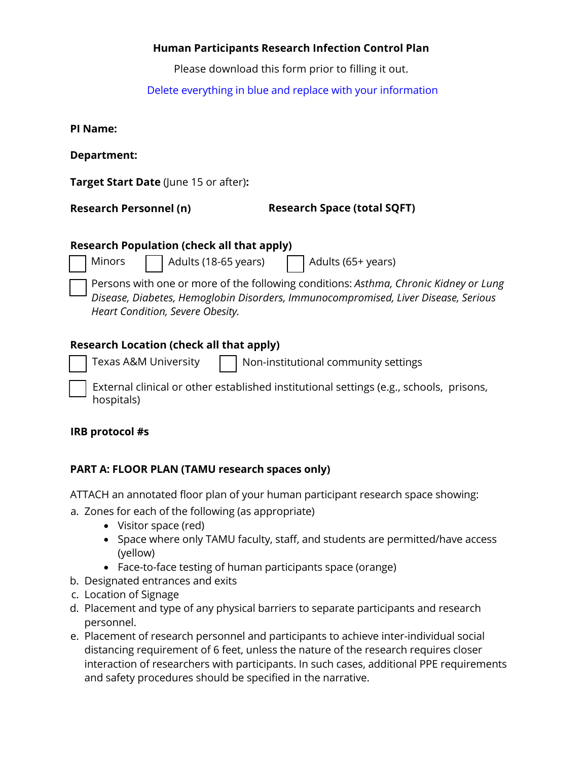## **Human Participants Research Infection Control Plan**

Please download this form prior to filling it out.

## Delete everything in blue and replace with your information

| Department: |  |
|-------------|--|
|-------------|--|

**Target Start Date** (June 15 or after)**:**

**Research Personnel (n)** 

**Research Space (total SQFT)** 

| <b>Research Population (check all that apply)</b> |                                          |  |  |  |
|---------------------------------------------------|------------------------------------------|--|--|--|
|                                                   | Minors 18-65 years) Adults (18-65 years) |  |  |  |
|                                                   |                                          |  |  |  |

Persons with one or more of the following conditions: *Asthma, Chronic Kidney or Lung Disease, Diabetes, Hemoglobin Disorders, Immunocompromised, Liver Disease, Serious Heart Condition, Severe Obesity.*

# **Research Location (check all that apply)**

Texas A&M University  $\|\cdot\|$  Non-institutional community settings

External clinical or other established institutional settings (e.g., schools, prisons, hospitals)

# **IRB protocol #s**

# **PART A: FLOOR PLAN (TAMU research spaces only)**

ATTACH an annotated floor plan of your human participant research space showing:

- a. Zones for each of the following (as appropriate)
	- Visitor space (red)
	- Space where only TAMU faculty, staff, and students are permitted/have access (yellow)
	- Face-to-face testing of human participants space (orange)
- b. Designated entrances and exits
- c. Location of Signage
- d. Placement and type of any physical barriers to separate participants and research personnel.
- e. Placement of research personnel and participants to achieve inter-individual social distancing requirement of 6 feet, unless the nature of the research requires closer interaction of researchers with participants. In such cases, additional PPE requirements and safety procedures should be specified in the narrative.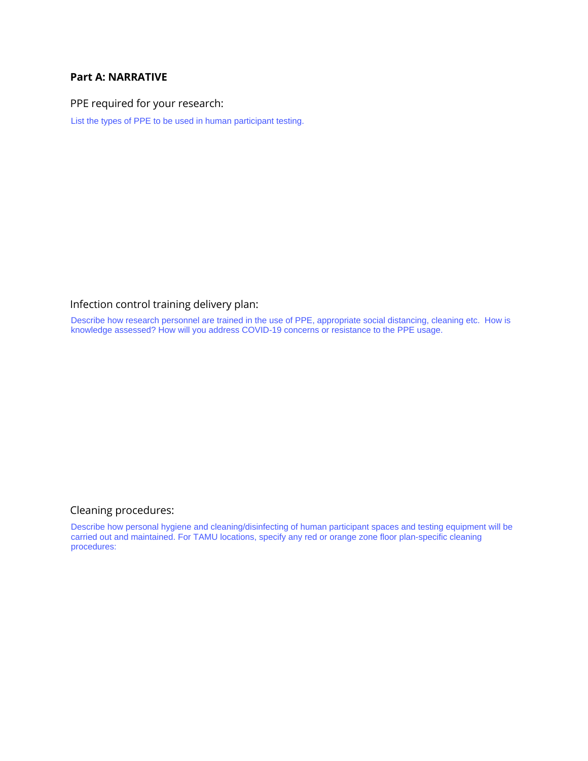#### **Part A: NARRATIVE**

PPE required for your research:

List the types of PPE to be used in human participant testing.

### Infection control training delivery plan:

Describe how research personnel are trained in the use of PPE, appropriate social distancing, cleaning etc. How is knowledge assessed? How will you address COVID-19 concerns or resistance to the PPE usage.

### Cleaning procedures:

Describe how personal hygiene and cleaning/disinfecting of human participant spaces and testing equipment will be carried out and maintained. For TAMU locations, specify any red or orange zone floor plan-specific cleaning procedures: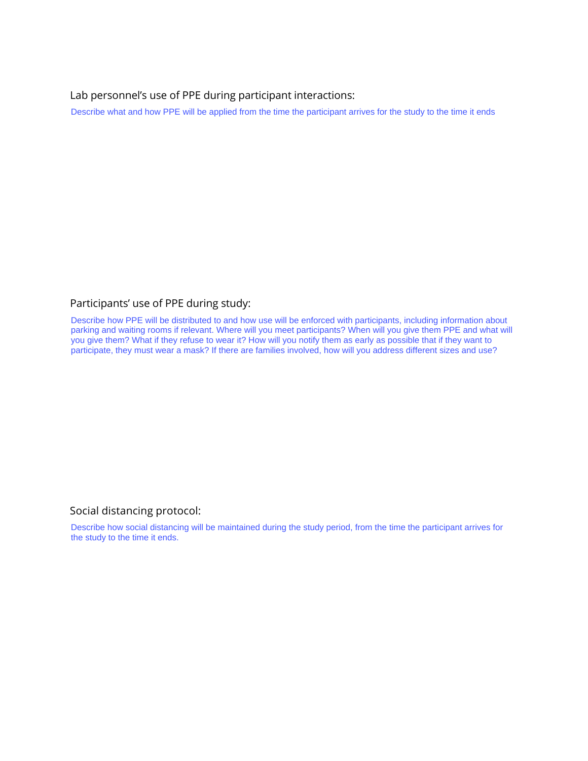Lab personnel's use of PPE during participant interactions:

#### Participants' use of PPE during study:

Describe what and how PPE will be applied from the time the participant arrives for the study to the time it ends<br>Participants' use of PPE during study:<br>Describe how PPE will be distributed to and how use will be enforced parking and waiting rooms if relevant. Where will you meet participants? When will you give them PPE and what will you give them? What if they refuse to wear it? How will you notify them as early as possible that if they want to participate, they must wear a mask? If there are families involved, how will you address different sizes and use?

#### Social distancing protocol:

Describe how social distancing will be maintained during the study period, from the time the participant arrives for the study to the time it ends.